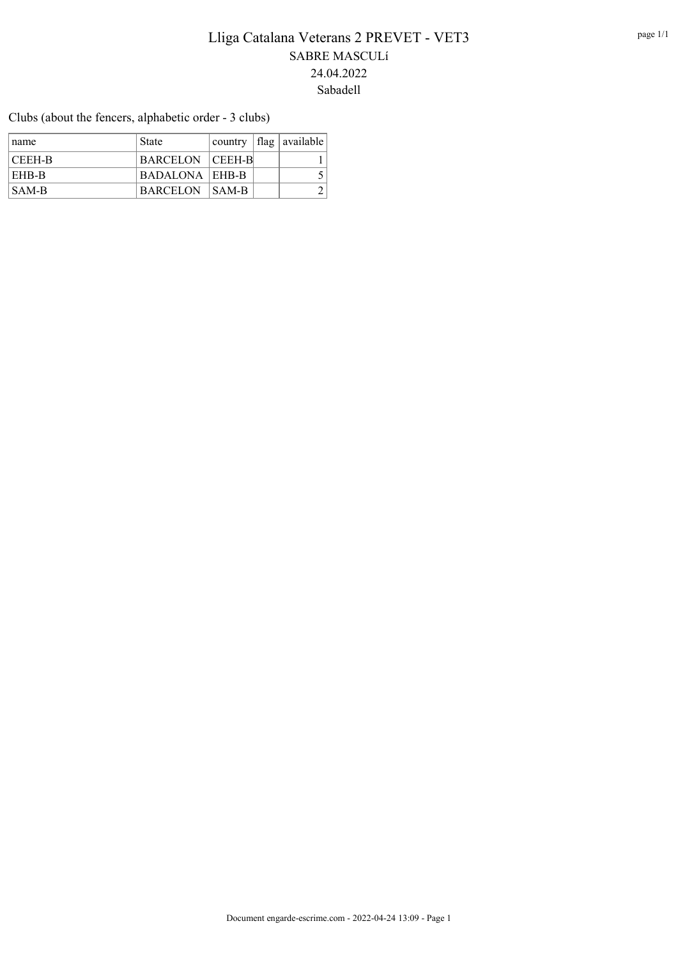Clubs (about the fencers, alphabetic order - 3 clubs)

| ∣ name | <b>State</b>          |  | $\alpha$ country $\alpha$ available |
|--------|-----------------------|--|-------------------------------------|
| CEEH-B | BARCELON CEEH-B       |  |                                     |
| EHB-B  | BADALONA   EHB-B      |  |                                     |
| SAM-B  | <b>BARCELON SAM-B</b> |  |                                     |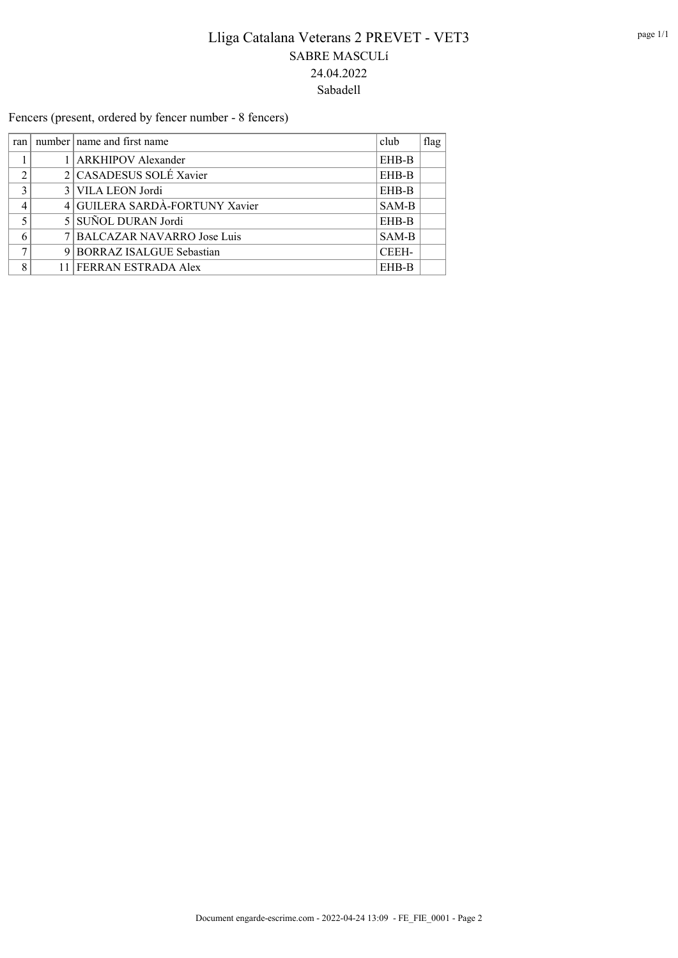Fencers (present, ordered by fencer number - 8 fencers)

| ran | club<br>number   name and first name |       | flag |
|-----|--------------------------------------|-------|------|
|     | 1   ARKHIPOV Alexander<br>EHB-B      |       |      |
| ◠   | 2 CASADESUS SOLÉ Xavier              | EHB-B |      |
| 3   | 3 VILA LEON Jordi                    | EHB-B |      |
|     | 4 GUILERA SARDÀ-FORTUNY Xavier       | SAM-B |      |
| 5   | 5 SUÑOL DURAN Jordi                  | EHB-B |      |
|     | 7 BALCAZAR NAVARRO Jose Luis         | SAM-B |      |
| ⇁   | 9 BORRAZ ISALGUE Sebastian           | CEEH- |      |
| 8   | 11 FERRAN ESTRADA Alex               | EHB-B |      |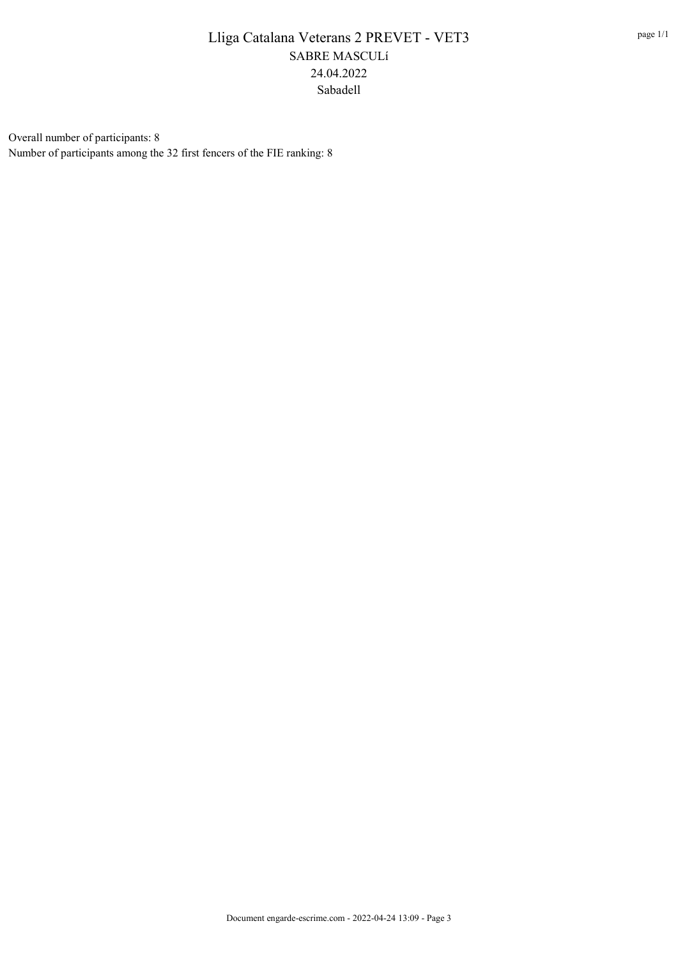Overall number of participants: 8 Number of participants among the 32 first fencers of the FIE ranking: 8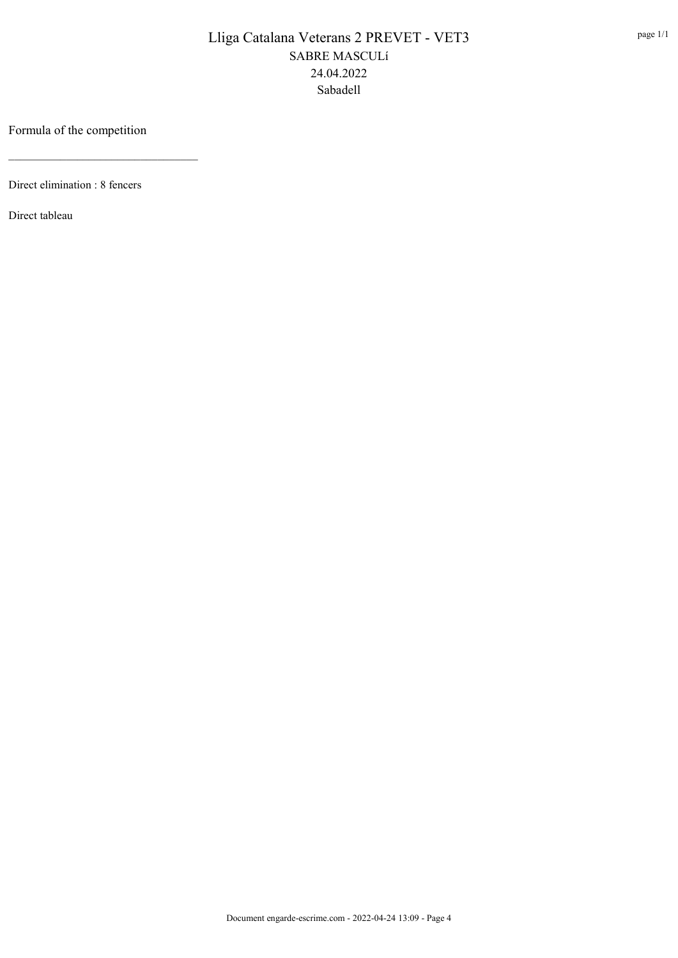### Formula of the competition

\_\_\_\_\_\_\_\_\_\_\_\_\_\_\_\_\_\_\_\_\_\_\_\_\_\_\_\_\_\_\_\_\_

Direct elimination : 8 fencers

Direct tableau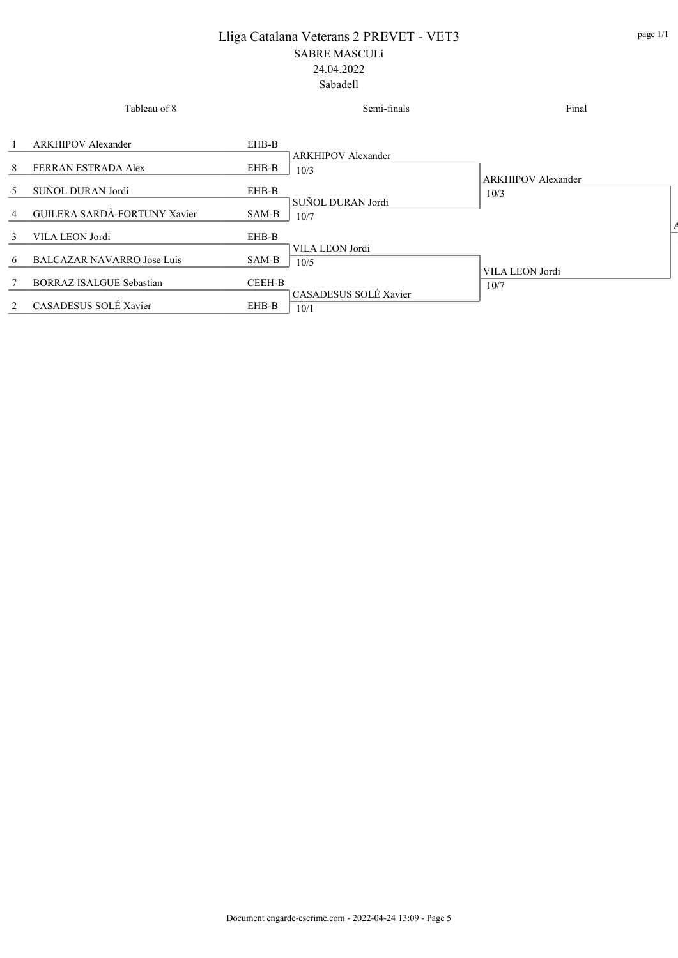|                             | Tableau of 8                      |        | Semi-finals                       | Final                     |
|-----------------------------|-----------------------------------|--------|-----------------------------------|---------------------------|
|                             | <b>ARKHIPOV</b> Alexander         | EHB-B  |                                   |                           |
| 8                           | FERRAN ESTRADA Alex               | EHB-B  | <b>ARKHIPOV Alexander</b><br>10/3 | <b>ARKHIPOV Alexander</b> |
| 5                           | SUÑOL DURAN Jordi                 | EHB-B  | SUÑOL DURAN Jordi                 | 10/3                      |
| 4                           | GUILERA SARDÀ-FORTUNY Xavier      | SAM-B  | 10/7                              |                           |
| 3                           | VILA LEON Jordi                   | EHB-B  | VILA LEON Jordi                   |                           |
| 6                           | <b>BALCAZAR NAVARRO Jose Luis</b> | SAM-B  | 10/5                              | VILA LEON Jordi           |
|                             | <b>BORRAZ ISALGUE Sebastian</b>   | CEEH-B |                                   | 10/7                      |
| $\mathcal{D}_{\mathcal{L}}$ | CASADESUS SOLÉ Xavier             | EHB-B  | CASADESUS SOLÉ Xavier<br>10/1     |                           |